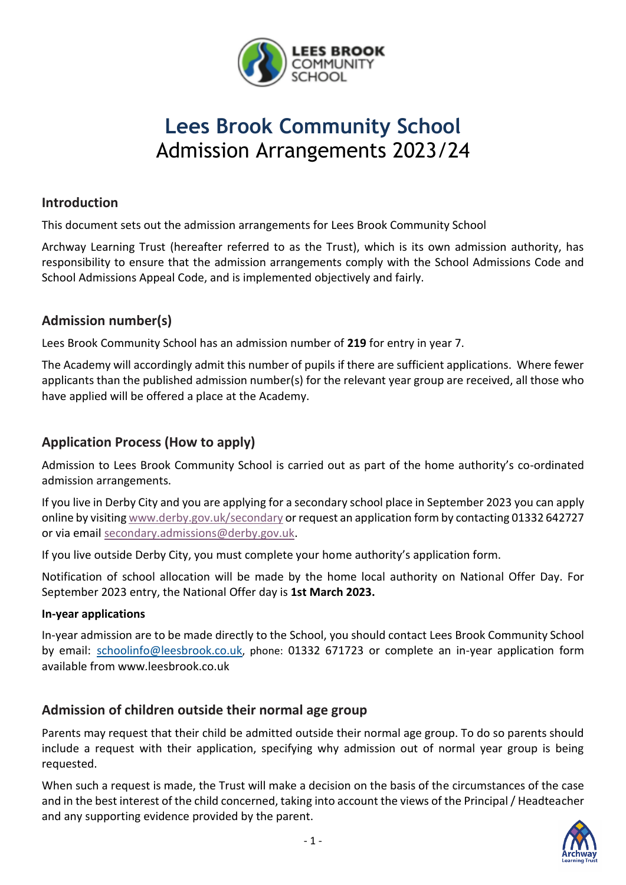

# **Lees Brook Community School** Admission Arrangements 2023/24

### **Introduction**

This document sets out the admission arrangements for Lees Brook Community School

Archway Learning Trust (hereafter referred to as the Trust), which is its own admission authority, has responsibility to ensure that the admission arrangements comply with the School Admissions Code and School Admissions Appeal Code, and is implemented objectively and fairly.

# **Admission number(s)**

Lees Brook Community School has an admission number of **219** for entry in year 7.

The Academy will accordingly admit this number of pupils if there are sufficient applications. Where fewer applicants than the published admission number(s) for the relevant year group are received, all those who have applied will be offered a place at the Academy.

# **Application Process (How to apply)**

Admission to Lees Brook Community School is carried out as part of the home authority's co-ordinated admission arrangements.

If you live in Derby City and you are applying for a secondary school place in September 2023 you can apply online by visitin[g www.derby.gov.uk/secondary](http://www.derby.gov.uk/secondary) or request an application form by contacting 01332 642727 or via email [secondary.admissions@derby.gov.uk.](mailto:secondary.admissions@derby.gov.uk)

If you live outside Derby City, you must complete your home authority's application form.

Notification of school allocation will be made by the home local authority on National Offer Day. For September 2023 entry, the National Offer day is **1st March 2023.**

#### **In-year applications**

In-year admission are to be made directly to the School, you should contact Lees Brook Community School by email: [schoolinfo@leesbrook.co.uk](mailto:schoolinfo@leesbrook.co.uk), phone: 01332 671723 or complete an in-year application form available from www.leesbrook.co.uk

# **Admission of children outside their normal age group**

Parents may request that their child be admitted outside their normal age group. To do so parents should include a request with their application, specifying why admission out of normal year group is being requested.

When such a request is made, the Trust will make a decision on the basis of the circumstances of the case and in the best interest of the child concerned, taking into account the views of the Principal / Headteacher and any supporting evidence provided by the parent.

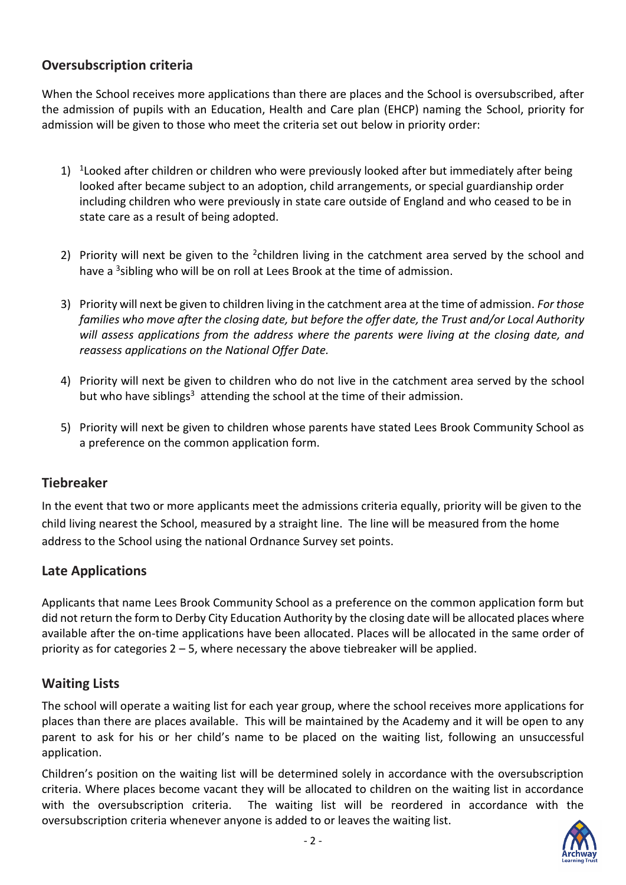# **Oversubscription criteria**

When the School receives more applications than there are places and the School is oversubscribed, after the admission of pupils with an Education, Health and Care plan (EHCP) naming the School, priority for admission will be given to those who meet the criteria set out below in priority order:

- 1) <sup>1</sup> Looked after children or children who were previously looked after but immediately after being looked after became subject to an adoption, child arrangements, or special guardianship order including children who were previously in state care outside of England and who ceased to be in state care as a result of being adopted.
- 2) Priority will next be given to the  $2$ children living in the catchment area served by the school and have a <sup>3</sup>sibling who will be on roll at Lees Brook at the time of admission.
- 3) Priority will next be given to children living in the catchment area at the time of admission. *For those families who move after the closing date, but before the offer date, the Trust and/or Local Authority will assess applications from the address where the parents were living at the closing date, and reassess applications on the National Offer Date.*
- 4) Priority will next be given to children who do not live in the catchment area served by the school but who have siblings<sup>3</sup> attending the school at the time of their admission.
- 5) Priority will next be given to children whose parents have stated Lees Brook Community School as a preference on the common application form.

#### **Tiebreaker**

In the event that two or more applicants meet the admissions criteria equally, priority will be given to the child living nearest the School, measured by a straight line. The line will be measured from the home address to the School using the national Ordnance Survey set points.

# **Late Applications**

Applicants that name Lees Brook Community School as a preference on the common application form but did not return the form to Derby City Education Authority by the closing date will be allocated places where available after the on-time applications have been allocated. Places will be allocated in the same order of priority as for categories 2 – 5, where necessary the above tiebreaker will be applied.

#### **Waiting Lists**

The school will operate a waiting list for each year group, where the school receives more applications for places than there are places available. This will be maintained by the Academy and it will be open to any parent to ask for his or her child's name to be placed on the waiting list, following an unsuccessful application.

Children's position on the waiting list will be determined solely in accordance with the oversubscription criteria. Where places become vacant they will be allocated to children on the waiting list in accordance with the oversubscription criteria. The waiting list will be reordered in accordance with the oversubscription criteria whenever anyone is added to or leaves the waiting list.

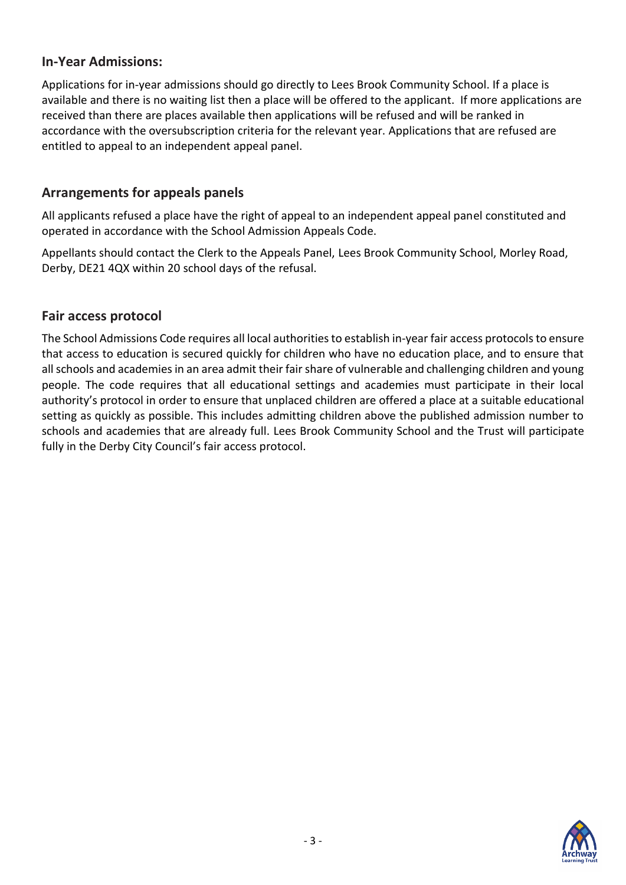## **In-Year Admissions:**

Applications for in-year admissions should go directly to Lees Brook Community School. If a place is available and there is no waiting list then a place will be offered to the applicant. If more applications are received than there are places available then applications will be refused and will be ranked in accordance with the oversubscription criteria for the relevant year. Applications that are refused are entitled to appeal to an independent appeal panel.

# **Arrangements for appeals panels**

All applicants refused a place have the right of appeal to an independent appeal panel constituted and operated in accordance with the School Admission Appeals Code.

Appellants should contact the Clerk to the Appeals Panel, Lees Brook Community School, Morley Road, Derby, DE21 4QX within 20 school days of the refusal.

### **Fair access protocol**

The School Admissions Code requires all local authorities to establish in-year fair access protocols to ensure that access to education is secured quickly for children who have no education place, and to ensure that all schools and academies in an area admit their fair share of vulnerable and challenging children and young people. The code requires that all educational settings and academies must participate in their local authority's protocol in order to ensure that unplaced children are offered a place at a suitable educational setting as quickly as possible. This includes admitting children above the published admission number to schools and academies that are already full. Lees Brook Community School and the Trust will participate fully in the Derby City Council's fair access protocol.